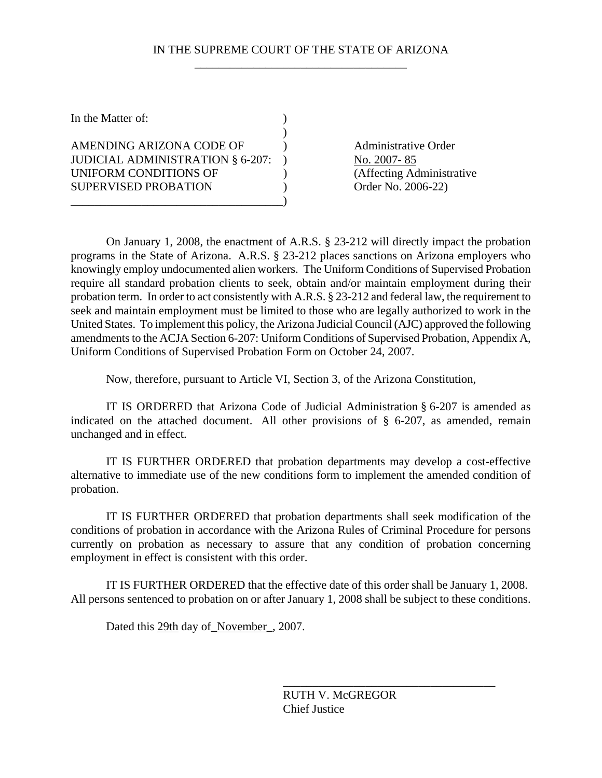### IN THE SUPREME COURT OF THE STATE OF ARIZONA \_\_\_\_\_\_\_\_\_\_\_\_\_\_\_\_\_\_\_\_\_\_\_\_\_\_\_\_\_\_\_\_\_\_\_\_

| In the Matter of:                       |  |
|-----------------------------------------|--|
|                                         |  |
| AMENDING ARIZONA CODE OF                |  |
| <b>JUDICIAL ADMINISTRATION § 6-207:</b> |  |
| UNIFORM CONDITIONS OF                   |  |
| <b>SUPERVISED PROBATION</b>             |  |
|                                         |  |

Administrative Order No. 2007- 85 (Affecting Administrative Order No. 2006-22)

 On January 1, 2008, the enactment of A.R.S. § 23-212 will directly impact the probation programs in the State of Arizona. A.R.S. § 23-212 places sanctions on Arizona employers who knowingly employ undocumented alien workers. The Uniform Conditions of Supervised Probation require all standard probation clients to seek, obtain and/or maintain employment during their probation term. In order to act consistently with A.R.S. § 23-212 and federal law, the requirement to seek and maintain employment must be limited to those who are legally authorized to work in the United States. To implement this policy, the Arizona Judicial Council (AJC) approved the following amendments to the ACJA Section 6-207: Uniform Conditions of Supervised Probation, Appendix A, Uniform Conditions of Supervised Probation Form on October 24, 2007.

Now, therefore, pursuant to Article VI, Section 3, of the Arizona Constitution,

 IT IS ORDERED that Arizona Code of Judicial Administration § 6-207 is amended as indicated on the attached document. All other provisions of § 6-207, as amended, remain unchanged and in effect.

 IT IS FURTHER ORDERED that probation departments may develop a cost-effective alternative to immediate use of the new conditions form to implement the amended condition of probation.

 IT IS FURTHER ORDERED that probation departments shall seek modification of the conditions of probation in accordance with the Arizona Rules of Criminal Procedure for persons currently on probation as necessary to assure that any condition of probation concerning employment in effect is consistent with this order.

 IT IS FURTHER ORDERED that the effective date of this order shall be January 1, 2008. All persons sentenced to probation on or after January 1, 2008 shall be subject to these conditions.

Dated this 29th day of November 1, 2007.

RUTH V. McGREGOR Chief Justice

\_\_\_\_\_\_\_\_\_\_\_\_\_\_\_\_\_\_\_\_\_\_\_\_\_\_\_\_\_\_\_\_\_\_\_\_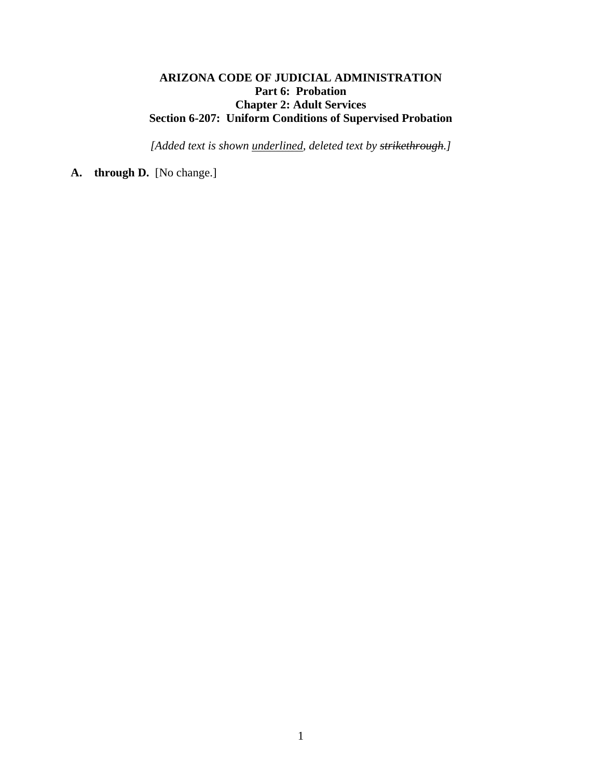# **ARIZONA CODE OF JUDICIAL ADMINISTRATION Part 6: Probation Chapter 2: Adult Services Section 6-207: Uniform Conditions of Supervised Probation**

*[Added text is shown underlined, deleted text by strikethrough.]* 

## A. through D. [No change.]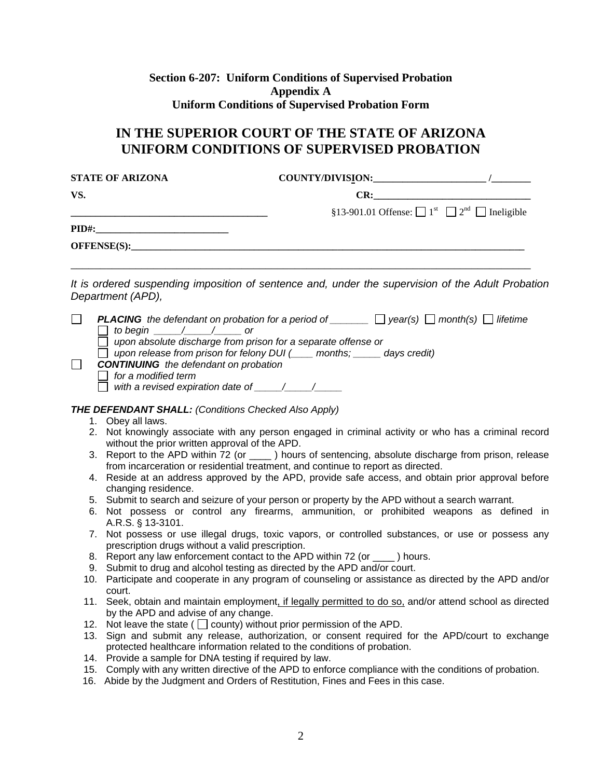#### **Section 6-207: Uniform Conditions of Supervised Probation Appendix A Uniform Conditions of Supervised Probation Form**

# **IN THE SUPERIOR COURT OF THE STATE OF ARIZONA UNIFORM CONDITIONS OF SUPERVISED PROBATION**

| <b>STATE OF ARIZONA</b> | COUNTY/DIVISION:                                                                    |
|-------------------------|-------------------------------------------------------------------------------------|
| VS.                     | CR:                                                                                 |
|                         | §13-901.01 Offense: $\Box$ 1 <sup>st</sup> $\Box$ 2 <sup>nd</sup> $\Box$ Ineligible |
| PID#:                   |                                                                                     |
| OFFENSE(S):             |                                                                                     |
|                         |                                                                                     |

*It is ordered suspending imposition of sentence and, under the supervision of the Adult Probation Department (APD),* 

| <b>PLACING</b> the defendant on probation for a period of $\Box$ year(s) $\Box$ month(s) $\Box$ lifetime                   |
|----------------------------------------------------------------------------------------------------------------------------|
| to begin $\sqrt{ }$<br><b>or</b><br>upon absolute discharge from prison for a separate offense or                          |
| upon release from prison for felony $DUI$ ( $\qquad$ months; $\qquad$ days credit)                                         |
| <b>CONTINUING</b> the defendant on probation<br>for a modified term<br>with a revised expiration date of Table 7 (Table 7) |
| <b>THE DEFENDANT SHALL: (Conditions Checked Also Apply)</b><br>Obey all laws.                                              |

- 2. Not knowingly associate with any person engaged in criminal activity or who has a criminal record without the prior written approval of the APD.
- 3. Report to the APD within 72 (or ) hours of sentencing, absolute discharge from prison, release from incarceration or residential treatment, and continue to report as directed.
- 4. Reside at an address approved by the APD, provide safe access, and obtain prior approval before changing residence.
- 5. Submit to search and seizure of your person or property by the APD without a search warrant.
- 6. Not possess or control any firearms, ammunition, or prohibited weapons as defined in A.R.S. § 13-3101.
- 7. Not possess or use illegal drugs, toxic vapors, or controlled substances, or use or possess any prescription drugs without a valid prescription.
- 8. Report any law enforcement contact to the APD within 72 (or \_\_\_\_) hours.
- 9. Submit to drug and alcohol testing as directed by the APD and/or court.
- 10. Participate and cooperate in any program of counseling or assistance as directed by the APD and/or court.
- 11. Seek, obtain and maintain employment, if legally permitted to do so, and/or attend school as directed by the APD and advise of any change.
- 12. Not leave the state ( $\Box$  county) without prior permission of the APD.
- 13. Sign and submit any release, authorization, or consent required for the APD/court to exchange protected healthcare information related to the conditions of probation.
- 14. Provide a sample for DNA testing if required by law.
- 15. Comply with any written directive of the APD to enforce compliance with the conditions of probation.
- 16. Abide by the Judgment and Orders of Restitution, Fines and Fees in this case.